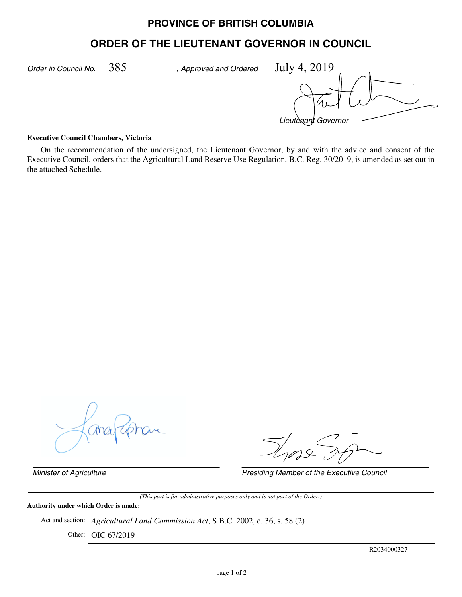## **PROVINCE OF BRITISH COLUMBIA**

# **ORDER OF THE LIEUTENANT GOVERNOR IN COUNCIL**

*Order in Council No. , Approved and Ordered* 385 July 4, 2019

*Lieutenant Governor*

#### **Executive Council Chambers, Victoria**

On the recommendation of the undersigned, the Lieutenant Governor, by and with the advice and consent of the Executive Council, orders that the Agricultural Land Reserve Use Regulation, B.C. Reg. 30/2019, is amended as set out in the attached Schedule.

*Minister of Agriculture Presiding Member of the Executive Council*

*(This part is for administrative purposes only and is not part of the Order.)*

## **Authority under which Order is made:**

Act and section: *Agricultural Land Commission Act*, S.B.C. 2002, c. 36, s. 58 (2)

Other: OIC 67/2019

R2034000327